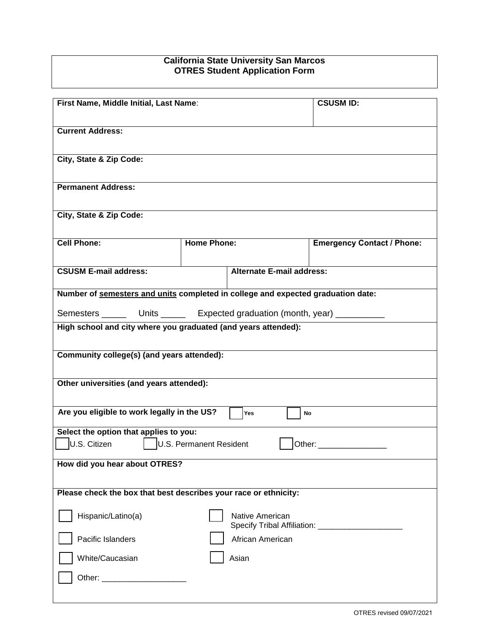## **California State University San Marcos OTRES Student Application Form**

| First Name, Middle Initial, Last Name:                                           |                    |                           | <b>CSUSM ID:</b>                  |
|----------------------------------------------------------------------------------|--------------------|---------------------------|-----------------------------------|
| <b>Current Address:</b>                                                          |                    |                           |                                   |
| City, State & Zip Code:                                                          |                    |                           |                                   |
| <b>Permanent Address:</b>                                                        |                    |                           |                                   |
| City, State & Zip Code:                                                          |                    |                           |                                   |
| <b>Cell Phone:</b>                                                               | <b>Home Phone:</b> |                           | <b>Emergency Contact / Phone:</b> |
| <b>CSUSM E-mail address:</b>                                                     |                    | Alternate E-mail address: |                                   |
| Number of semesters and units completed in college and expected graduation date: |                    |                           |                                   |
| Semesters ________ Units _______ Expected graduation (month, year) ___________   |                    |                           |                                   |
| High school and city where you graduated (and years attended):                   |                    |                           |                                   |
| Community college(s) (and years attended):                                       |                    |                           |                                   |
| Other universities (and years attended):                                         |                    |                           |                                   |
| Are you eligible to work legally in the US?                                      |                    | Yes<br>No                 |                                   |
| Select the option that applies to you:                                           |                    |                           |                                   |
| U.S. Citizen   U.S. Permanent Resident                                           |                    |                           |                                   |
| How did you hear about OTRES?                                                    |                    |                           |                                   |
| Please check the box that best describes your race or ethnicity:                 |                    |                           |                                   |
| Hispanic/Latino(a)                                                               |                    | Native American           |                                   |
| Pacific Islanders                                                                |                    | African American          |                                   |
| White/Caucasian                                                                  |                    | Asian                     |                                   |
|                                                                                  |                    |                           |                                   |

H